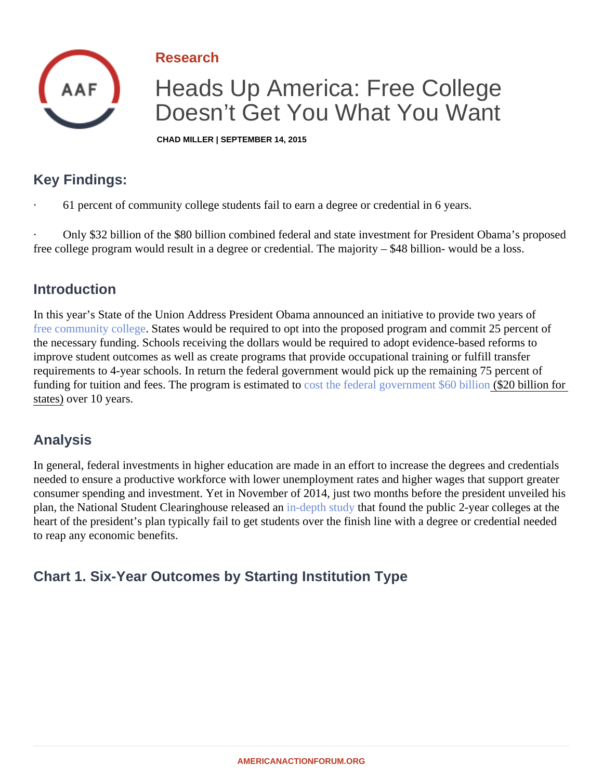Research

# Heads Up America: Free College Doesn't Get You What You Want

CHAD MILLER | SEPTEMBER 14, 2015

## Key Findings:

· 61 percent of community college students fail to earn a degree or credential in 6 years.

Only \$32 billion of the \$80 billion combined federal and state investment for President Obramassed free college program would result in a degree or credential. The majority – \$48 billion- would be a loss.

#### **Introduction**

In this year's State of the Union Address President Obama announced an initiative to provide two years of [free community colleg](�� h t t p : / / a m e r i c a n a c t i o n f o r u m . o r g / i n s i g h t s / f r e e - c o l l e g e - a n d - t a x e s - o n l y - o n e - i s - g u a r a n t e e d - u n d e r - o b a m a s - p r o p o s a l s)e States would be required to opt into the proposed program and commit 25 percent of the necessary funding. Schools receiving the dollars would be required to adopt evidence-based reforms to improve student outcomes as well as create programs that provide occupational training or fulfill transfer requirements to 4-year schools. In return the federal government would pick up the remaining 75 percent of fundingfor tuition and fees. The program is estimated to the federal government \$60 billion for states) over 10 years.

### Analysis

In general, federal investments in higher education are made in an effort to increase the degrees and credent needed to ensure a productive workforce with lower unemployment rates and higher wages that support grea consumer spending and investment. Yet in November of 2014, just two months before the president unveiled plan, the National Student Clearinghouse released dapth study that found the public 2-year colleges at the heart of the president's plan typically fail to get students over the finish line with a degree or credential needed to reap any economic benefits.

Chart 1. Six-Year Outcomes by Starting Institution Type